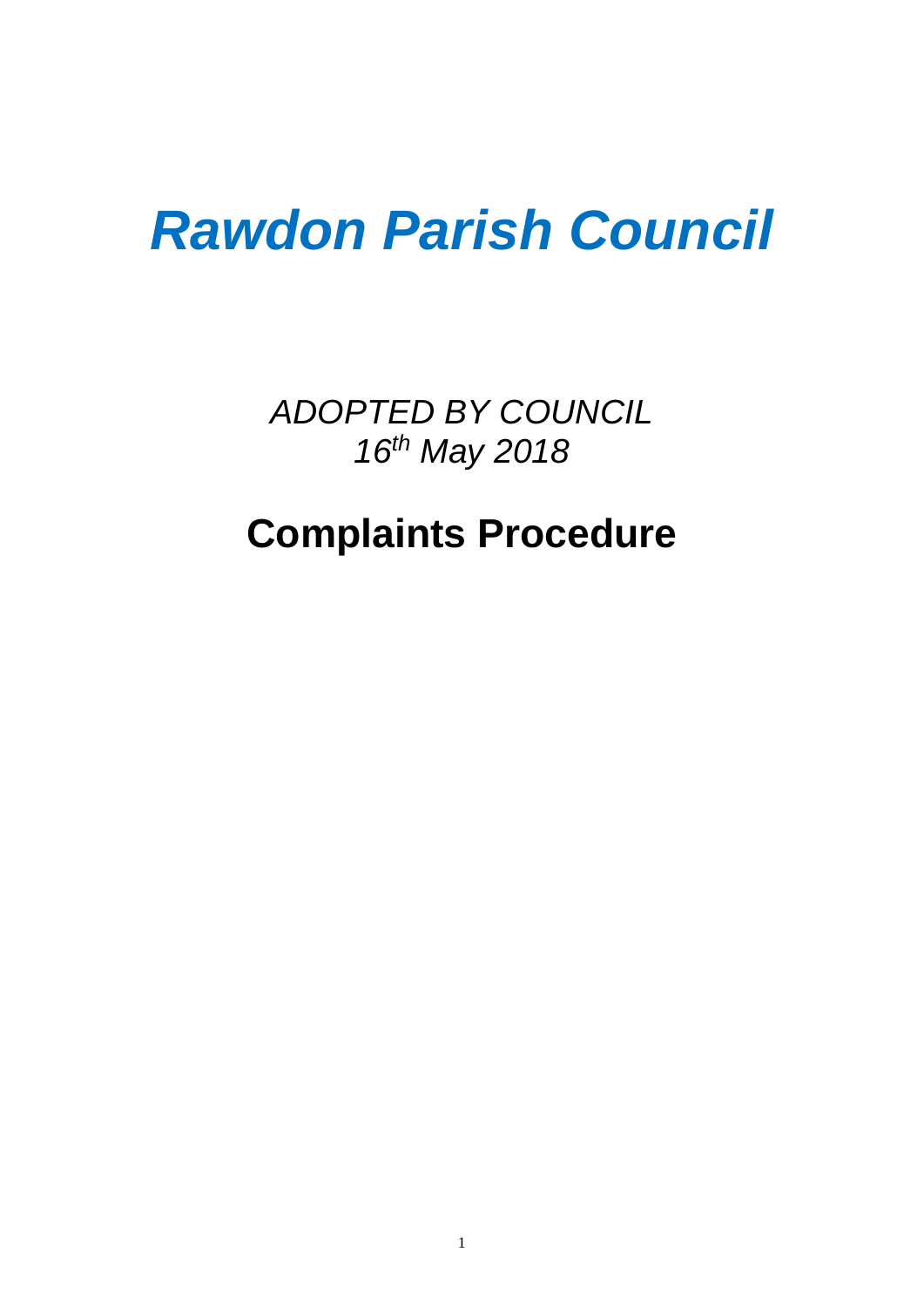# *Rawdon Parish Council*

*ADOPTED BY COUNCIL 16th May 2018*

## **Complaints Procedure**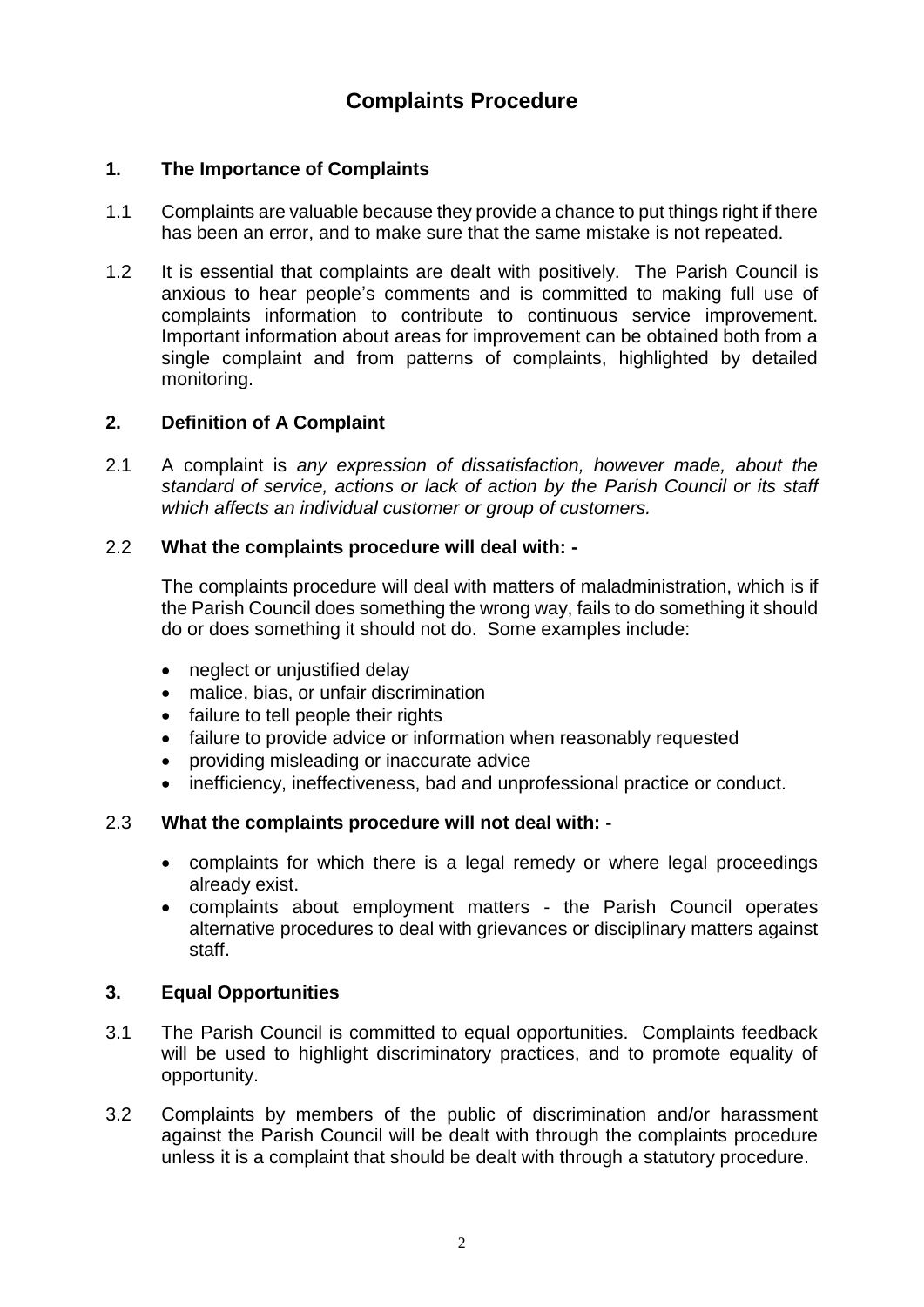### **Complaints Procedure**

#### **1. The Importance of Complaints**

- 1.1 Complaints are valuable because they provide a chance to put things right if there has been an error, and to make sure that the same mistake is not repeated.
- 1.2 It is essential that complaints are dealt with positively. The Parish Council is anxious to hear people's comments and is committed to making full use of complaints information to contribute to continuous service improvement. Important information about areas for improvement can be obtained both from a single complaint and from patterns of complaints, highlighted by detailed monitoring.

#### **2. Definition of A Complaint**

2.1 A complaint is *any expression of dissatisfaction, however made, about the standard of service, actions or lack of action by the Parish Council or its staff which affects an individual customer or group of customers.*

#### 2.2 **What the complaints procedure will deal with: -**

The complaints procedure will deal with matters of maladministration, which is if the Parish Council does something the wrong way, fails to do something it should do or does something it should not do. Some examples include:

- neglect or unjustified delay
- malice, bias, or unfair discrimination
- failure to tell people their rights
- failure to provide advice or information when reasonably requested
- providing misleading or inaccurate advice
- inefficiency, ineffectiveness, bad and unprofessional practice or conduct.

#### 2.3 **What the complaints procedure will not deal with: -**

- complaints for which there is a legal remedy or where legal proceedings already exist.
- complaints about employment matters the Parish Council operates alternative procedures to deal with grievances or disciplinary matters against staff.

#### **3. Equal Opportunities**

- 3.1 The Parish Council is committed to equal opportunities. Complaints feedback will be used to highlight discriminatory practices, and to promote equality of opportunity.
- 3.2 Complaints by members of the public of discrimination and/or harassment against the Parish Council will be dealt with through the complaints procedure unless it is a complaint that should be dealt with through a statutory procedure.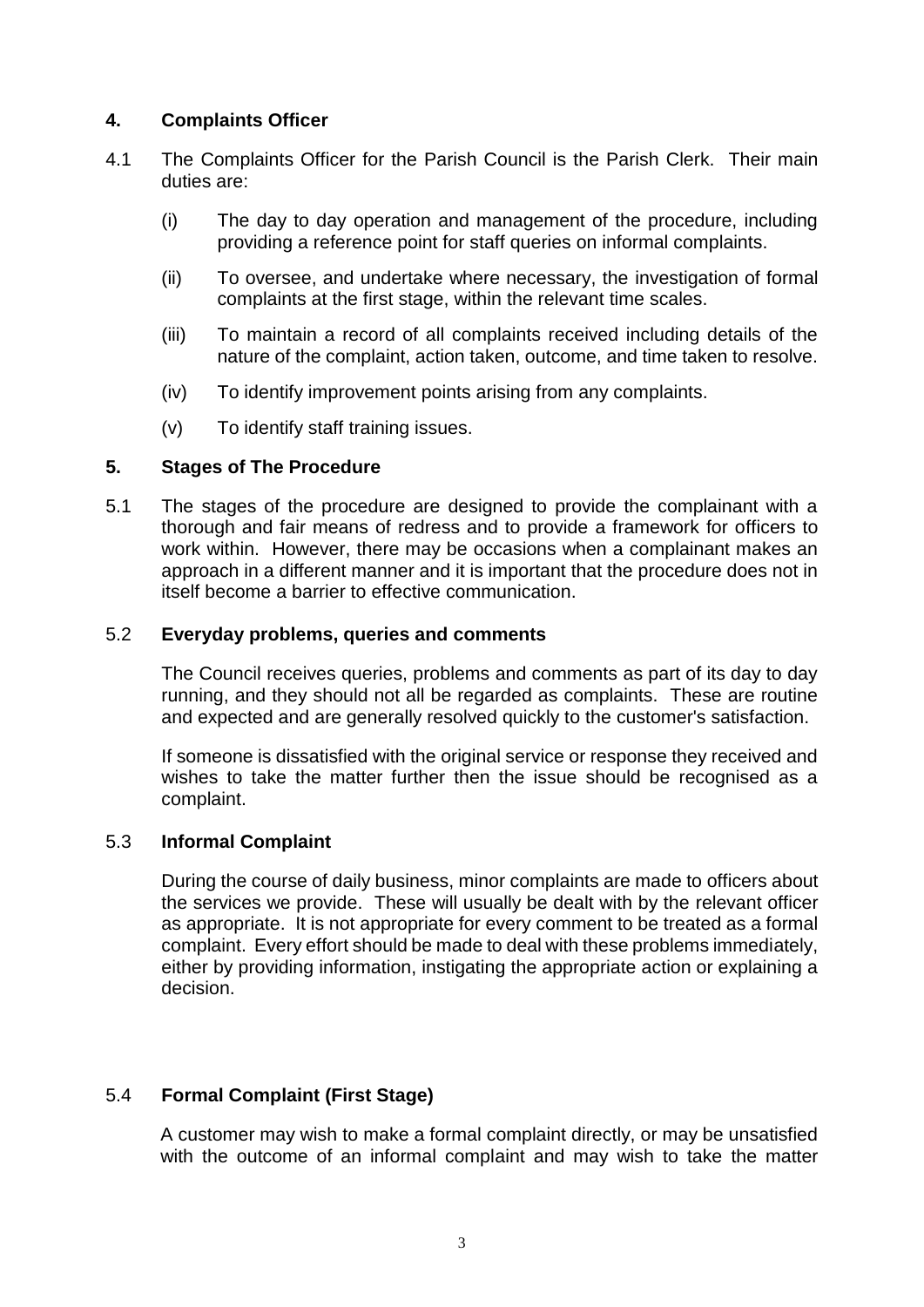#### **4. Complaints Officer**

- 4.1 The Complaints Officer for the Parish Council is the Parish Clerk. Their main duties are:
	- (i) The day to day operation and management of the procedure, including providing a reference point for staff queries on informal complaints.
	- (ii) To oversee, and undertake where necessary, the investigation of formal complaints at the first stage, within the relevant time scales.
	- (iii) To maintain a record of all complaints received including details of the nature of the complaint, action taken, outcome, and time taken to resolve.
	- (iv) To identify improvement points arising from any complaints.
	- (v) To identify staff training issues.

#### **5. Stages of The Procedure**

5.1 The stages of the procedure are designed to provide the complainant with a thorough and fair means of redress and to provide a framework for officers to work within. However, there may be occasions when a complainant makes an approach in a different manner and it is important that the procedure does not in itself become a barrier to effective communication.

#### 5.2 **Everyday problems, queries and comments**

The Council receives queries, problems and comments as part of its day to day running, and they should not all be regarded as complaints. These are routine and expected and are generally resolved quickly to the customer's satisfaction.

If someone is dissatisfied with the original service or response they received and wishes to take the matter further then the issue should be recognised as a complaint.

#### 5.3 **Informal Complaint**

During the course of daily business, minor complaints are made to officers about the services we provide. These will usually be dealt with by the relevant officer as appropriate. It is not appropriate for every comment to be treated as a formal complaint. Every effort should be made to deal with these problems immediately, either by providing information, instigating the appropriate action or explaining a decision.

#### 5.4 **Formal Complaint (First Stage)**

A customer may wish to make a formal complaint directly, or may be unsatisfied with the outcome of an informal complaint and may wish to take the matter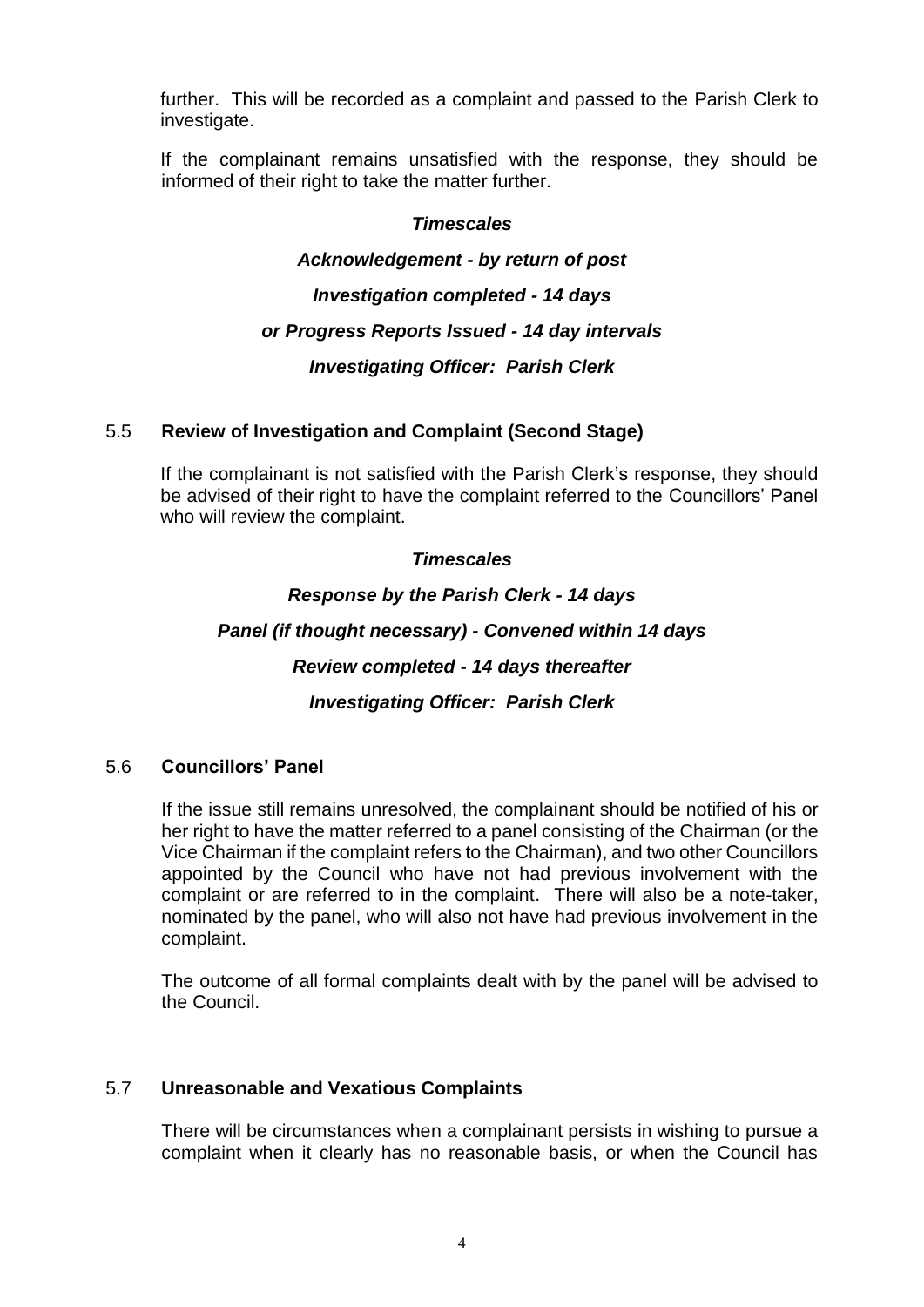further. This will be recorded as a complaint and passed to the Parish Clerk to investigate.

If the complainant remains unsatisfied with the response, they should be informed of their right to take the matter further.

#### *Timescales*

#### *Acknowledgement - by return of post*

*Investigation completed - 14 days*

#### *or Progress Reports Issued - 14 day intervals*

*Investigating Officer: Parish Clerk*

#### 5.5 **Review of Investigation and Complaint (Second Stage)**

If the complainant is not satisfied with the Parish Clerk's response, they should be advised of their right to have the complaint referred to the Councillors' Panel who will review the complaint.

#### *Timescales*

*Response by the Parish Clerk - 14 days Panel (if thought necessary) - Convened within 14 days Review completed - 14 days thereafter Investigating Officer: Parish Clerk*

#### 5.6 **Councillors' Panel**

If the issue still remains unresolved, the complainant should be notified of his or her right to have the matter referred to a panel consisting of the Chairman (or the Vice Chairman if the complaint refers to the Chairman), and two other Councillors appointed by the Council who have not had previous involvement with the complaint or are referred to in the complaint. There will also be a note-taker, nominated by the panel, who will also not have had previous involvement in the complaint.

The outcome of all formal complaints dealt with by the panel will be advised to the Council.

#### 5.7 **Unreasonable and Vexatious Complaints**

There will be circumstances when a complainant persists in wishing to pursue a complaint when it clearly has no reasonable basis, or when the Council has